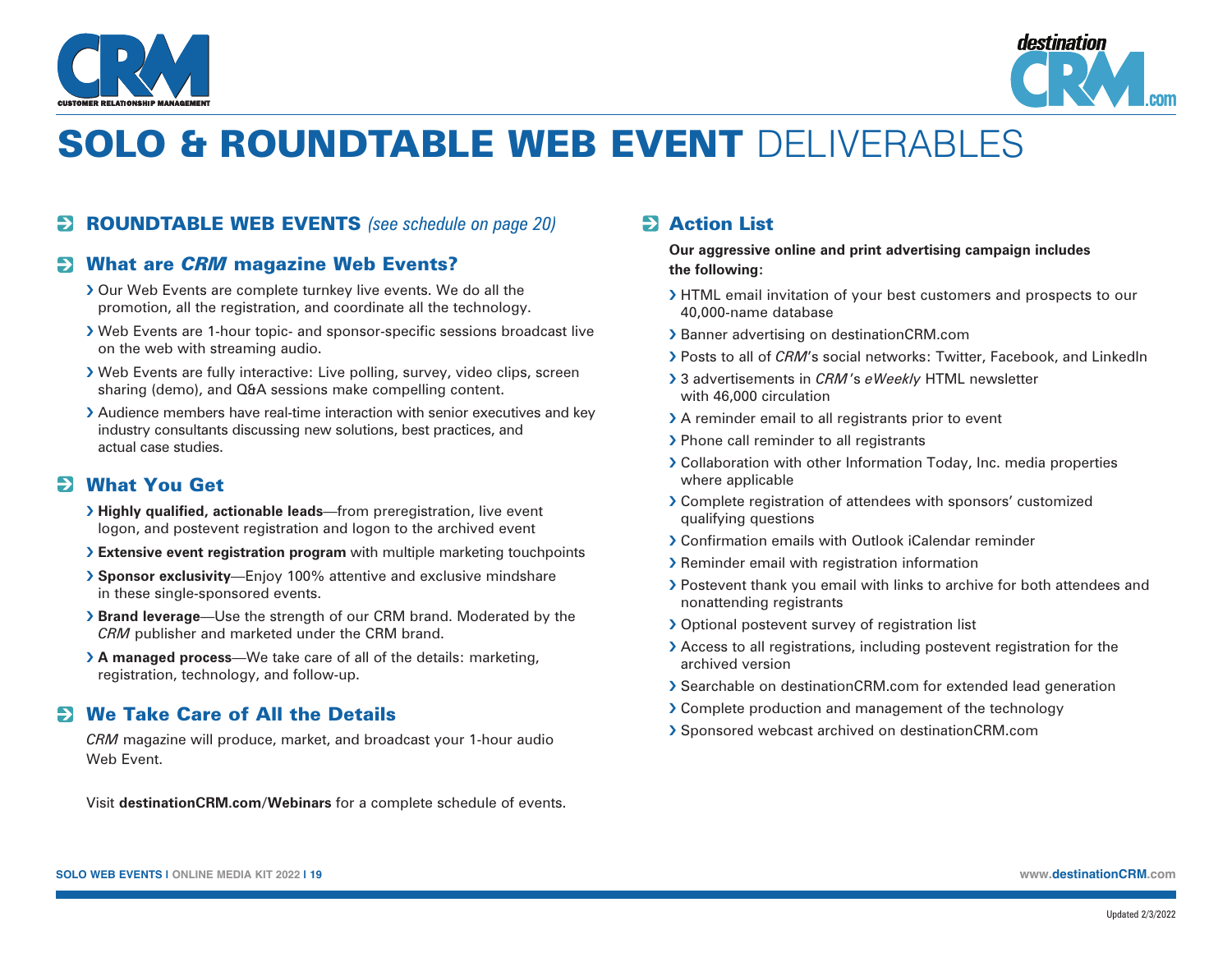



# SOLO & ROUNDTABLE WEB EVENT DELIVERABLES

### ROUNDTABLE WEB EVENTS *(see schedule on page 20)*

#### **EXAMPLE WestEV STARK WestEVENTS:** What are *CRM* magazine Web Events?

- › Our Web Events are complete turnkey live events. We do all the promotion, all the registration, and coordinate all the technology.
- › Web Events are 1-hour topic- and sponsor-specific sessions broadcast live on the web with streaming audio.
- › Web Events are fully interactive: Live polling, survey, video clips, screen sharing (demo), and Q&A sessions make compelling content.
- › Audience members have real-time interaction with senior executives and key industry consultants discussing new solutions, best practices, and actual case studies.

#### **2 What You Get**

- › **Highly qualified, actionable leads**—from preregistration, live event logon, and postevent registration and logon to the archived event
- › **Extensive event registration program** with multiple marketing touchpoints
- › **Sponsor exclusivity**—Enjoy 100% attentive and exclusive mindshare in these single-sponsored events.
- › **Brand leverage**—Use the strength of our CRM brand. Moderated by the *CRM* publisher and marketed under the CRM brand.
- › **A managed process**—We take care of all of the details: marketing, registration, technology, and follow-up.

#### We Take Care of All the Details

*CRM* magazine will produce, market, and broadcast your 1-hour audio Web Event.

Visit **[destinationCRM.com/Webinars](http://destinationCRM.com/Webinars)** for a complete schedule of events.

## **2** Action List

**Our aggressive online and print advertising campaign includes the following:**

- > HTML email invitation of your best customers and prospects to our 40,000-name database
- › Banner advertising on [destinationCRM.com](http://destinationCRM.com)
- › Posts to all of *CRM*'s social networks: Twitter, Facebook, and LinkedIn
- › 3 advertisements in *CRM*'s *eWeekly* HTML newsletter with 46,000 circulation
- > A reminder email to all registrants prior to event
- › Phone call reminder to all registrants
- › Collaboration with other Information Today, Inc. media properties where applicable
- › Complete registration of attendees with sponsors' customized qualifying questions
- › Confirmation emails with Outlook iCalendar reminder
- › Reminder email with registration information
- › Postevent thank you email with links to archive for both attendees and nonattending registrants
- › Optional postevent survey of registration list
- › Access to all registrations, including postevent registration for the archived version
- › Searchable on [destinationCRM.com](http://destinationCRM.com) for extended lead generation
- › Complete production and management of the technology
- › Sponsored webcast archived on [destinationCRM.com](http://destinationCRM.com)